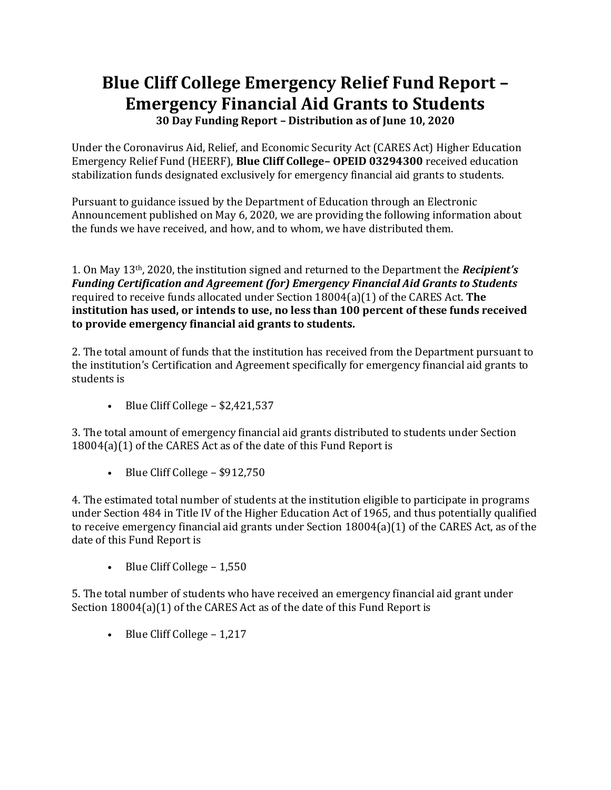## **Blue Cliff College Emergency Relief Fund Report – Emergency Financial Aid Grants to Students**

**30 Day Funding Report – Distribution as of June 10, 2020**

Under the Coronavirus Aid, Relief, and Economic Security Act (CARES Act) Higher Education Emergency Relief Fund (HEERF), **Blue Cliff College– OPEID 03294300** received education stabilization funds designated exclusively for emergency financial aid grants to students.

Pursuant to guidance issued by the Department of Education through an Electronic Announcement published on May 6, 2020, we are providing the following information about the funds we have received, and how, and to whom, we have distributed them.

1. On May 13th, 2020, the institution signed and returned to the Department the *Recipient's Funding Certification and Agreement (for) Emergency Financial Aid Grants to Students*  required to receive funds allocated under Section 18004(a)(1) of the CARES Act. **The institution has used, or intends to use, no less than 100 percent of these funds received to provide emergency financial aid grants to students.**

2. The total amount of funds that the institution has received from the Department pursuant to the institution's Certification and Agreement specifically for emergency financial aid grants to students is

• Blue Cliff College  $- $2,421,537$ 

3. The total amount of emergency financial aid grants distributed to students under Section 18004(a)(1) of the CARES Act as of the date of this Fund Report is

• Blue Cliff College – \$912,750

4. The estimated total number of students at the institution eligible to participate in programs under Section 484 in Title IV of the Higher Education Act of 1965, and thus potentially qualified to receive emergency financial aid grants under Section 18004(a)(1) of the CARES Act, as of the date of this Fund Report is

• Blue Cliff College – 1,550

5. The total number of students who have received an emergency financial aid grant under Section 18004(a)(1) of the CARES Act as of the date of this Fund Report is

• Blue Cliff College – 1,217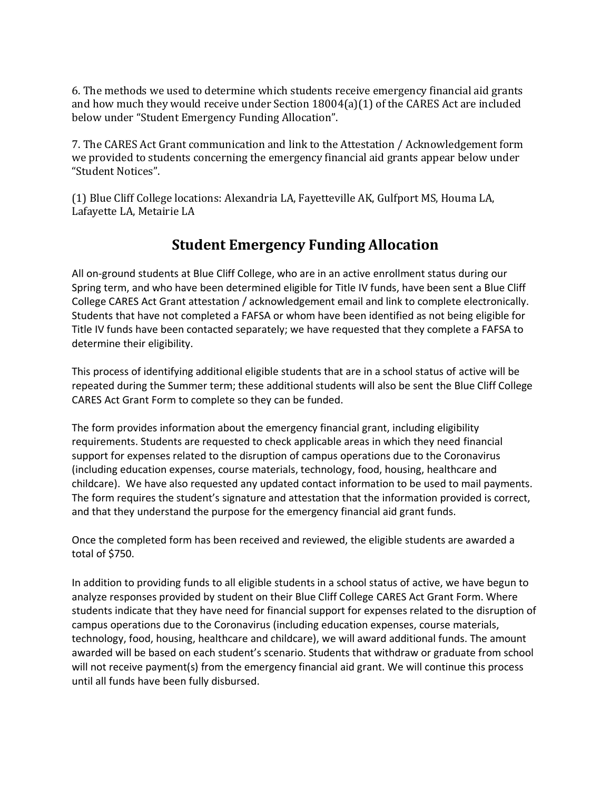6. The methods we used to determine which students receive emergency financial aid grants and how much they would receive under Section 18004(a)(1) of the CARES Act are included below under "Student Emergency Funding Allocation".

7. The CARES Act Grant communication and link to the Attestation / Acknowledgement form we provided to students concerning the emergency financial aid grants appear below under "Student Notices".

(1) Blue Cliff College locations: Alexandria LA, Fayetteville AK, Gulfport MS, Houma LA, Lafayette LA, Metairie LA

## **Student Emergency Funding Allocation**

All on-ground students at Blue Cliff College, who are in an active enrollment status during our Spring term, and who have been determined eligible for Title IV funds, have been sent a Blue Cliff College CARES Act Grant attestation / acknowledgement email and link to complete electronically. Students that have not completed a FAFSA or whom have been identified as not being eligible for Title IV funds have been contacted separately; we have requested that they complete a FAFSA to determine their eligibility.

This process of identifying additional eligible students that are in a school status of active will be repeated during the Summer term; these additional students will also be sent the Blue Cliff College CARES Act Grant Form to complete so they can be funded.

The form provides information about the emergency financial grant, including eligibility requirements. Students are requested to check applicable areas in which they need financial support for expenses related to the disruption of campus operations due to the Coronavirus (including education expenses, course materials, technology, food, housing, healthcare and childcare). We have also requested any updated contact information to be used to mail payments. The form requires the student's signature and attestation that the information provided is correct, and that they understand the purpose for the emergency financial aid grant funds.

Once the completed form has been received and reviewed, the eligible students are awarded a total of \$750.

In addition to providing funds to all eligible students in a school status of active, we have begun to analyze responses provided by student on their Blue Cliff College CARES Act Grant Form. Where students indicate that they have need for financial support for expenses related to the disruption of campus operations due to the Coronavirus (including education expenses, course materials, technology, food, housing, healthcare and childcare), we will award additional funds. The amount awarded will be based on each student's scenario. Students that withdraw or graduate from school will not receive payment(s) from the emergency financial aid grant. We will continue this process until all funds have been fully disbursed.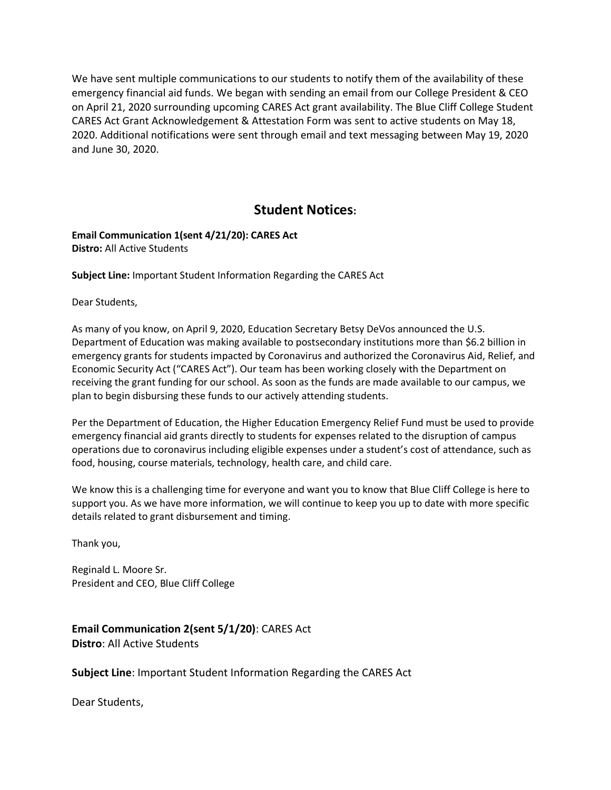We have sent multiple communications to our students to notify them of the availability of these emergency financial aid funds. We began with sending an email from our College President & CEO on April 21, 2020 surrounding upcoming CARES Act grant availability. The Blue Cliff College Student CARES Act Grant Acknowledgement & Attestation Form was sent to active students on May 18, 2020. Additional notifications were sent through email and text messaging between May 19, 2020 and June 30, 2020.

## **Student Notices:**

**Email Communication 1(sent 4/21/20): CARES Act Distro:** All Active Students

**Subject Line:** Important Student Information Regarding the CARES Act

Dear Students,

As many of you know, on April 9, 2020, Education Secretary Betsy DeVos announced the U.S. Department of Education was making available to postsecondary institutions more than \$6.2 billion in emergency grants for students impacted by Coronavirus and authorized the Coronavirus Aid, Relief, and Economic Security Act ("CARES Act"). Our team has been working closely with the Department on receiving the grant funding for our school. As soon as the funds are made available to our campus, we plan to begin disbursing these funds to our actively attending students.

Per the Department of Education, the Higher Education Emergency Relief Fund must be used to provide emergency financial aid grants directly to students for expenses related to the disruption of campus operations due to coronavirus including eligible expenses under a student's cost of attendance, such as food, housing, course materials, technology, health care, and child care.

We know this is a challenging time for everyone and want you to know that Blue Cliff College is here to support you. As we have more information, we will continue to keep you up to date with more specific details related to grant disbursement and timing.

Thank you,

Reginald L. Moore Sr. President and CEO, Blue Cliff College

**Email Communication 2(sent 5/1/20)**: CARES Act **Distro**: All Active Students

**Subject Line**: Important Student Information Regarding the CARES Act

Dear Students,